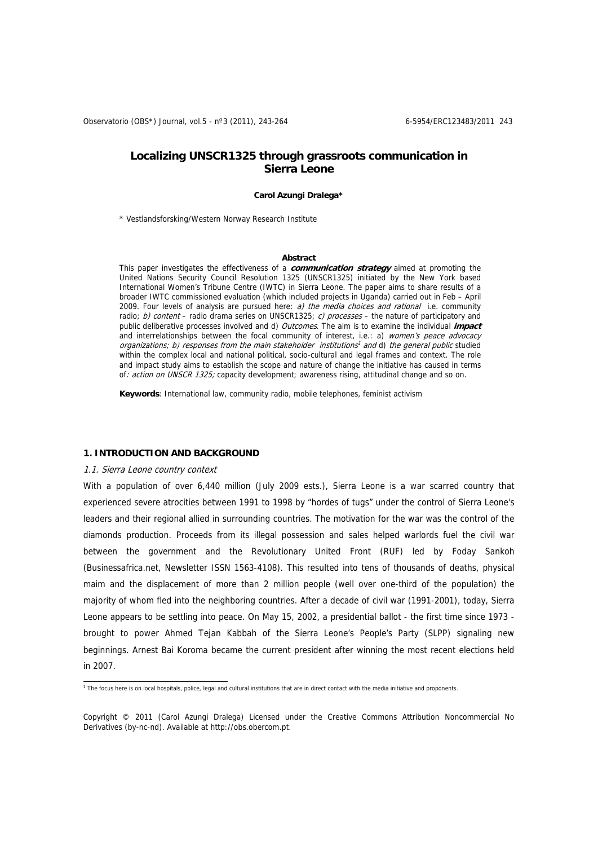# **Localizing UNSCR1325 through grassroots communication in Sierra Leone**

#### **Carol Azungi Dralega\***

\* Vestlandsforsking/Western Norway Research Institute

#### **Abstract**

This paper investigates the effectiveness of a **communication strategy** aimed at promoting the United Nations Security Council Resolution 1325 (UNSCR1325) initiated by the New York based International Women's Tribune Centre (IWTC) in Sierra Leone. The paper aims to share results of a broader IWTC commissioned evaluation (which included projects in Uganda) carried out in Feb – April 2009. Four levels of analysis are pursued here:  $a)$  the media choices and rational i.e. community radio; b) content – radio drama series on UNSCR1325; c) processes – the nature of participatory and public deliberative processes involved and d) Outcomes. The aim is to examine the individual **impact**  and interrelationships between the focal community of interest, i.e.: a) women's peace advocacy organizations; b) responses from the main stakeholder institutions<sup>1</sup> and d) the general public studied within the complex local and national political, socio-cultural and legal frames and context. The role and impact study aims to establish the scope and nature of change the initiative has caused in terms of: action on UNSCR 1325; capacity development; awareness rising, attitudinal change and so on.

**Keywords**: International law, community radio, mobile telephones, feminist activism

#### **1. INTRODUCTION AND BACKGROUND**

#### 1.1. Sierra Leone country context

With a population of over 6,440 million (July 2009 ests.), Sierra Leone is a war scarred country that experienced severe atrocities between 1991 to 1998 by "hordes of tugs" under the control of Sierra Leone's leaders and their regional allied in surrounding countries. The motivation for the war was the control of the diamonds production. Proceeds from its illegal possession and sales helped warlords fuel the civil war between the government and the Revolutionary United Front (RUF) led by Foday Sankoh (Businessafrica.net, Newsletter ISSN 1563-4108). This resulted into tens of thousands of deaths, physical maim and the displacement of more than 2 million people (well over one-third of the population) the majority of whom fled into the neighboring countries. After a decade of civil war (1991-2001), today, Sierra Leone appears to be settling into peace. On May 15, 2002, a presidential ballot - the first time since 1973 brought to power Ahmed Tejan Kabbah of the Sierra Leone's People's Party (SLPP) signaling new beginnings. Arnest Bai Koroma became the current president after winning the most recent elections held in 2007.

<sup>1&</sup>lt;br>The focus here is on local hospitals, police, legal and cultural institutions that are in direct contact with the media initiative and proponents.

Copyright © 2011 (Carol Azungi Dralega) Licensed under the Creative Commons Attribution Noncommercial No Derivatives (by-nc-nd). Available at http://obs.obercom.pt.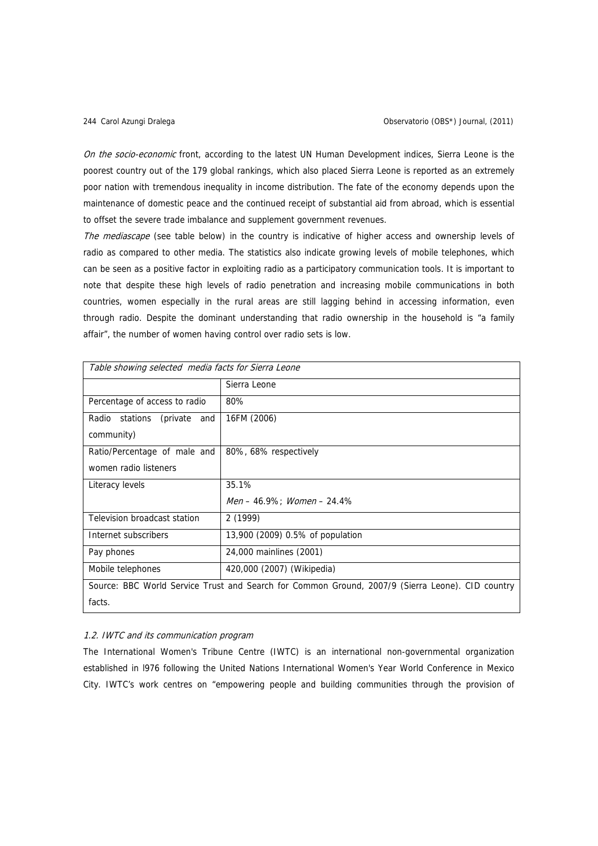On the socio-economic front, according to the latest UN Human Development indices, Sierra Leone is the poorest country out of the 179 global rankings, which also placed Sierra Leone is reported as an extremely poor nation with tremendous inequality in income distribution. The fate of the economy depends upon the maintenance of domestic peace and the continued receipt of substantial aid from abroad, which is essential to offset the severe trade imbalance and supplement government revenues.

The mediascape (see table below) in the country is indicative of higher access and ownership levels of radio as compared to other media. The statistics also indicate growing levels of mobile telephones, which can be seen as a positive factor in exploiting radio as a participatory communication tools. It is important to note that despite these high levels of radio penetration and increasing mobile communications in both countries, women especially in the rural areas are still lagging behind in accessing information, even through radio. Despite the dominant understanding that radio ownership in the household is "a family affair", the number of women having control over radio sets is low.

| Table showing selected media facts for Sierra Leone                                              |                                       |  |  |  |
|--------------------------------------------------------------------------------------------------|---------------------------------------|--|--|--|
|                                                                                                  | Sierra Leone                          |  |  |  |
| Percentage of access to radio                                                                    | 80%                                   |  |  |  |
| Radio stations<br>(private and                                                                   | 16FM (2006)                           |  |  |  |
| community)                                                                                       |                                       |  |  |  |
| Ratio/Percentage of male and                                                                     | 80%, 68% respectively                 |  |  |  |
| women radio listeners                                                                            |                                       |  |  |  |
| Literacy levels                                                                                  | 35.1%                                 |  |  |  |
|                                                                                                  | $Men - 46.9\%$ : <i>Women</i> - 24.4% |  |  |  |
| Television broadcast station                                                                     | 2(1999)                               |  |  |  |
| Internet subscribers                                                                             | 13,900 (2009) 0.5% of population      |  |  |  |
| Pay phones                                                                                       | 24,000 mainlines (2001)               |  |  |  |
| Mobile telephones                                                                                | 420,000 (2007) (Wikipedia)            |  |  |  |
| Source: BBC World Service Trust and Search for Common Ground, 2007/9 (Sierra Leone). CID country |                                       |  |  |  |
| facts.                                                                                           |                                       |  |  |  |

# 1.2. IWTC and its communication program

The International Women's Tribune Centre (IWTC) is an international non-governmental organization established in l976 following the United Nations International Women's Year World Conference in Mexico City. IWTC's work centres on "empowering people and building communities through the provision of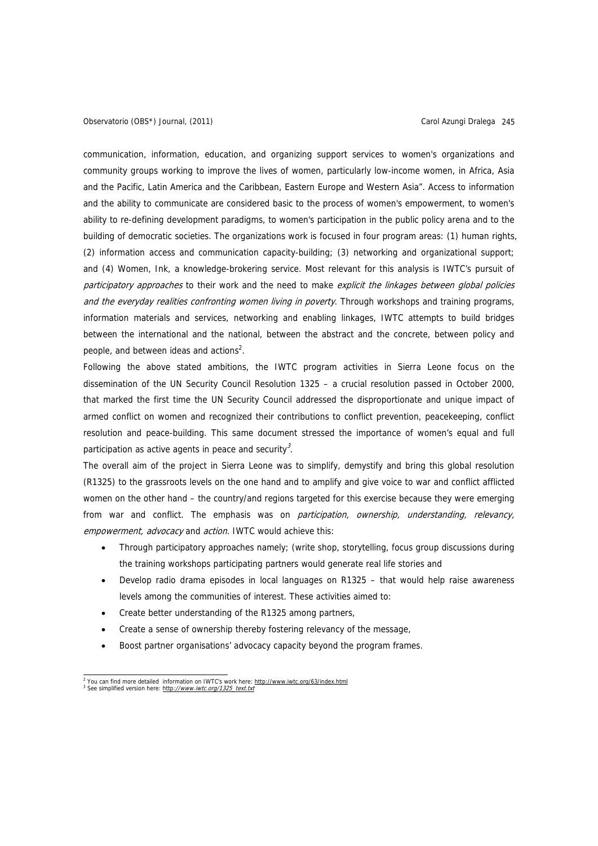communication, information, education, and organizing support services to women's organizations and community groups working to improve the lives of women, particularly low-income women, in Africa, Asia and the Pacific, Latin America and the Caribbean, Eastern Europe and Western Asia". Access to information and the ability to communicate are considered basic to the process of women's empowerment, to women's ability to re-defining development paradigms, to women's participation in the public policy arena and to the building of democratic societies. The organizations work is focused in four program areas: (1) human rights, (2) information access and communication capacity-building; (3) networking and organizational support; and (4) Women, Ink, a knowledge-brokering service. Most relevant for this analysis is IWTC's pursuit of participatory approaches to their work and the need to make explicit the linkages between global policies and the everyday realities confronting women living in poverty. Through workshops and training programs, information materials and services, networking and enabling linkages, IWTC attempts to build bridges between the international and the national, between the abstract and the concrete, between policy and people, and between ideas and actions<sup>2</sup>.

Following the above stated ambitions, the IWTC program activities in Sierra Leone focus on the dissemination of the UN Security Council Resolution 1325 – a crucial resolution passed in October 2000, that marked the first time the UN Security Council addressed the disproportionate and unique impact of armed conflict on women and recognized their contributions to conflict prevention, peacekeeping, conflict resolution and peace-building. This same document stressed the importance of women's equal and full participation as active agents in peace and security<sup>3</sup>.

The overall aim of the project in Sierra Leone was to simplify, demystify and bring this global resolution (R1325) to the grassroots levels on the one hand and to amplify and give voice to war and conflict afflicted women on the other hand – the country/and regions targeted for this exercise because they were emerging from war and conflict. The emphasis was on *participation, ownership, understanding, relevancy,* empowerment, advocacy and action. IWTC would achieve this:

- Through participatory approaches namely; (write shop, storytelling, focus group discussions during the training workshops participating partners would generate real life stories and
- Develop radio drama episodes in local languages on R1325 that would help raise awareness levels among the communities of interest. These activities aimed to:
- Create better understanding of the R1325 among partners,
- Create a sense of ownership thereby fostering relevancy of the message,
- Boost partner organisations' advocacy capacity beyond the program frames.

 2 You can find more detailed information on IWTC's work here: http://www.iwtc.org/63/index.html <sup>3</sup> See simplified version here: http://www.iwtc.org/1325\_text.txt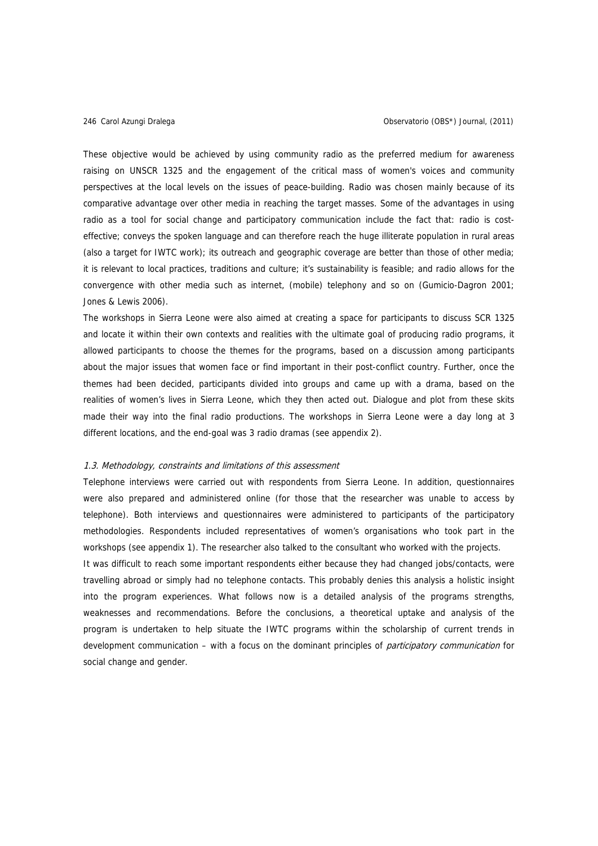These objective would be achieved by using community radio as the preferred medium for awareness raising on UNSCR 1325 and the engagement of the critical mass of women's voices and community perspectives at the local levels on the issues of peace-building. Radio was chosen mainly because of its comparative advantage over other media in reaching the target masses. Some of the advantages in using radio as a tool for social change and participatory communication include the fact that: radio is costeffective; conveys the spoken language and can therefore reach the huge illiterate population in rural areas (also a target for IWTC work); its outreach and geographic coverage are better than those of other media; it is relevant to local practices, traditions and culture; it's sustainability is feasible; and radio allows for the convergence with other media such as internet, (mobile) telephony and so on (Gumicio-Dagron 2001; Jones & Lewis 2006).

The workshops in Sierra Leone were also aimed at creating a space for participants to discuss SCR 1325 and locate it within their own contexts and realities with the ultimate goal of producing radio programs, it allowed participants to choose the themes for the programs, based on a discussion among participants about the major issues that women face or find important in their post-conflict country. Further, once the themes had been decided, participants divided into groups and came up with a drama, based on the realities of women's lives in Sierra Leone, which they then acted out. Dialogue and plot from these skits made their way into the final radio productions. The workshops in Sierra Leone were a day long at 3 different locations, and the end-goal was 3 radio dramas (see appendix 2).

#### 1.3. Methodology, constraints and limitations of this assessment

Telephone interviews were carried out with respondents from Sierra Leone. In addition, questionnaires were also prepared and administered online (for those that the researcher was unable to access by telephone). Both interviews and questionnaires were administered to participants of the participatory methodologies. Respondents included representatives of women's organisations who took part in the workshops (see appendix 1). The researcher also talked to the consultant who worked with the projects.

It was difficult to reach some important respondents either because they had changed jobs/contacts, were travelling abroad or simply had no telephone contacts. This probably denies this analysis a holistic insight into the program experiences. What follows now is a detailed analysis of the programs strengths, weaknesses and recommendations. Before the conclusions, a theoretical uptake and analysis of the program is undertaken to help situate the IWTC programs within the scholarship of current trends in development communication – with a focus on the dominant principles of *participatory communication* for social change and gender.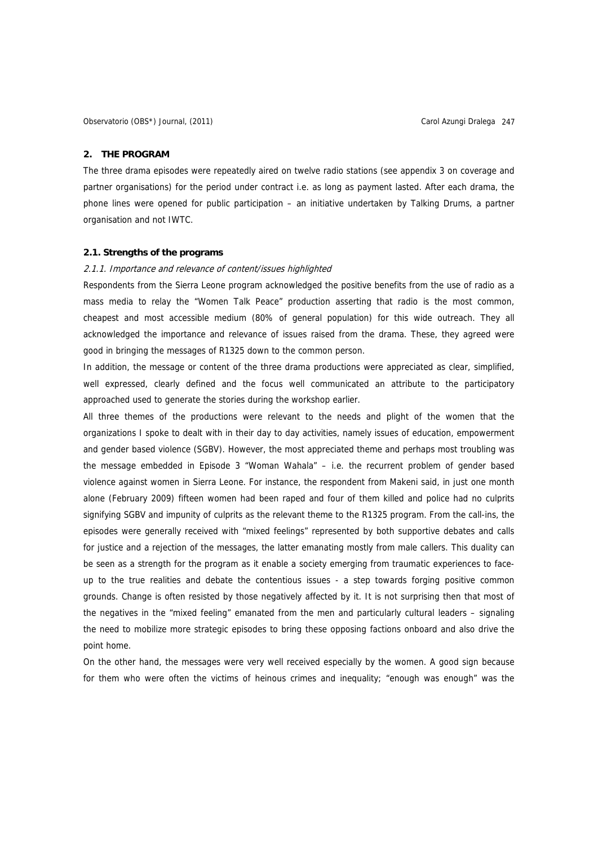## **2. THE PROGRAM**

The three drama episodes were repeatedly aired on twelve radio stations (see appendix 3 on coverage and partner organisations) for the period under contract i.e. as long as payment lasted. After each drama, the phone lines were opened for public participation – an initiative undertaken by Talking Drums, a partner organisation and not IWTC.

#### **2.1. Strengths of the programs**

## 2.1.1. Importance and relevance of content/issues highlighted

Respondents from the Sierra Leone program acknowledged the positive benefits from the use of radio as a mass media to relay the "Women Talk Peace" production asserting that radio is the most common, cheapest and most accessible medium (80% of general population) for this wide outreach. They all acknowledged the importance and relevance of issues raised from the drama. These, they agreed were good in bringing the messages of R1325 down to the common person.

In addition, the message or content of the three drama productions were appreciated as clear, simplified, well expressed, clearly defined and the focus well communicated an attribute to the participatory approached used to generate the stories during the workshop earlier.

All three themes of the productions were relevant to the needs and plight of the women that the organizations I spoke to dealt with in their day to day activities, namely issues of education, empowerment and gender based violence (SGBV). However, the most appreciated theme and perhaps most troubling was the message embedded in Episode 3 "Woman Wahala" – i.e. the recurrent problem of gender based violence against women in Sierra Leone. For instance, the respondent from Makeni said, in just one month alone (February 2009) fifteen women had been raped and four of them killed and police had no culprits signifying SGBV and impunity of culprits as the relevant theme to the R1325 program. From the call-ins, the episodes were generally received with "mixed feelings" represented by both supportive debates and calls for justice and a rejection of the messages, the latter emanating mostly from male callers. This duality can be seen as a strength for the program as it enable a society emerging from traumatic experiences to faceup to the true realities and debate the contentious issues - a step towards forging positive common grounds. Change is often resisted by those negatively affected by it. It is not surprising then that most of the negatives in the "mixed feeling" emanated from the men and particularly cultural leaders – signaling the need to mobilize more strategic episodes to bring these opposing factions onboard and also drive the point home.

On the other hand, the messages were very well received especially by the women. A good sign because for them who were often the victims of heinous crimes and inequality; "enough was enough" was the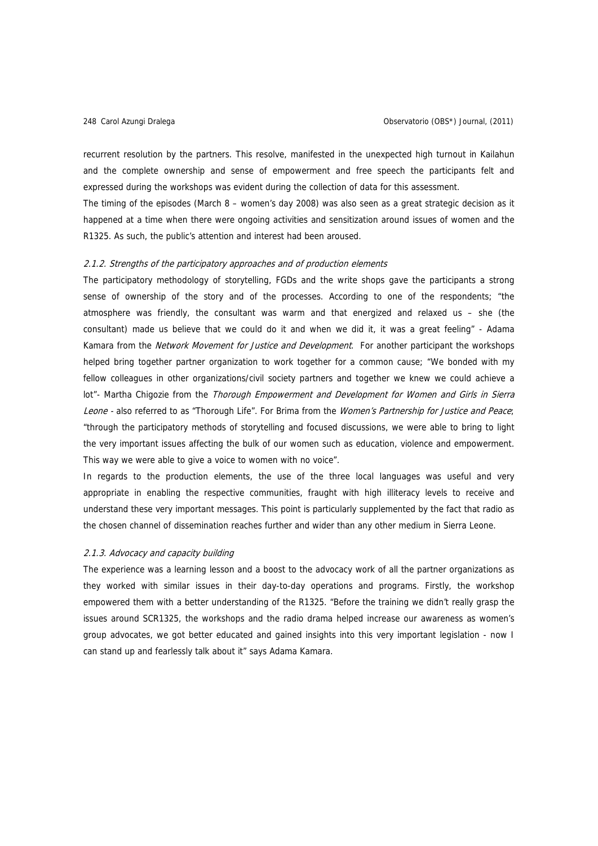recurrent resolution by the partners. This resolve, manifested in the unexpected high turnout in Kailahun and the complete ownership and sense of empowerment and free speech the participants felt and expressed during the workshops was evident during the collection of data for this assessment.

The timing of the episodes (March 8 – women's day 2008) was also seen as a great strategic decision as it happened at a time when there were ongoing activities and sensitization around issues of women and the R1325. As such, the public's attention and interest had been aroused.

#### 2.1.2. Strengths of the participatory approaches and of production elements

The participatory methodology of storytelling, FGDs and the write shops gave the participants a strong sense of ownership of the story and of the processes. According to one of the respondents; "the atmosphere was friendly, the consultant was warm and that energized and relaxed us – she (the consultant) made us believe that we could do it and when we did it, it was a great feeling" - Adama Kamara from the Network Movement for Justice and Development. For another participant the workshops helped bring together partner organization to work together for a common cause; "We bonded with my fellow colleagues in other organizations/civil society partners and together we knew we could achieve a lot"- Martha Chigozie from the Thorough Empowerment and Development for Women and Girls in Sierra Leone - also referred to as "Thorough Life". For Brima from the Women's Partnership for Justice and Peace; "through the participatory methods of storytelling and focused discussions, we were able to bring to light the very important issues affecting the bulk of our women such as education, violence and empowerment. This way we were able to give a voice to women with no voice".

In regards to the production elements, the use of the three local languages was useful and very appropriate in enabling the respective communities, fraught with high illiteracy levels to receive and understand these very important messages. This point is particularly supplemented by the fact that radio as the chosen channel of dissemination reaches further and wider than any other medium in Sierra Leone.

#### 2.1.3. Advocacy and capacity building

The experience was a learning lesson and a boost to the advocacy work of all the partner organizations as they worked with similar issues in their day-to-day operations and programs. Firstly, the workshop empowered them with a better understanding of the R1325. "Before the training we didn't really grasp the issues around SCR1325, the workshops and the radio drama helped increase our awareness as women's group advocates, we got better educated and gained insights into this very important legislation - now I can stand up and fearlessly talk about it" says Adama Kamara.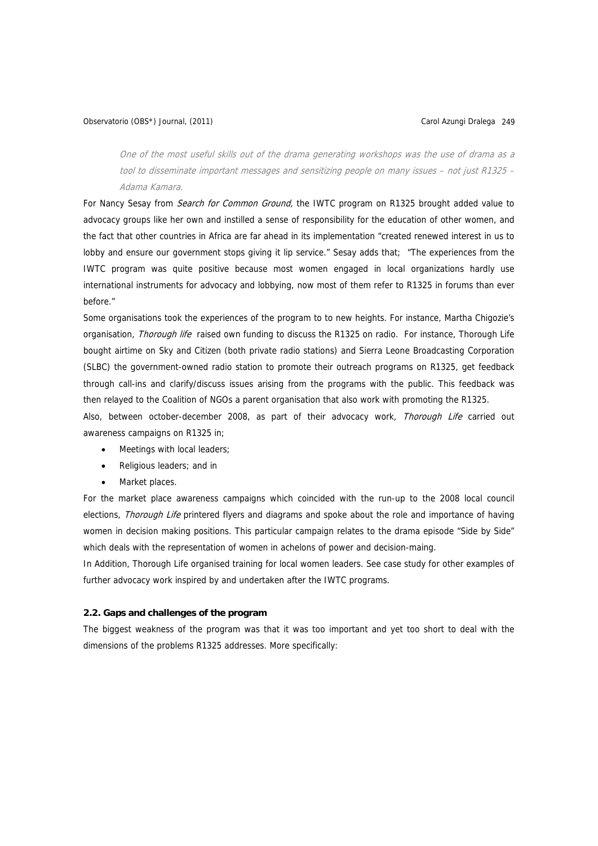# Observatorio (OBS\*) Journal, (2011) Carol Azungi Dralega 249

One of the most useful skills out of the drama generating workshops was the use of drama as a tool to disseminate important messages and sensitizing people on many issues – not just R1325 – Adama Kamara.

For Nancy Sesay from *Search for Common Ground*, the IWTC program on R1325 brought added value to advocacy groups like her own and instilled a sense of responsibility for the education of other women, and the fact that other countries in Africa are far ahead in its implementation "created renewed interest in us to lobby and ensure our government stops giving it lip service." Sesay adds that; "The experiences from the IWTC program was quite positive because most women engaged in local organizations hardly use international instruments for advocacy and lobbying, now most of them refer to R1325 in forums than ever before."

Some organisations took the experiences of the program to to new heights. For instance, Martha Chigozie's organisation, *Thorough life* raised own funding to discuss the R1325 on radio. For instance, Thorough Life bought airtime on Sky and Citizen (both private radio stations) and Sierra Leone Broadcasting Corporation (SLBC) the government-owned radio station to promote their outreach programs on R1325, get feedback through call-ins and clarify/discuss issues arising from the programs with the public. This feedback was then relayed to the Coalition of NGOs a parent organisation that also work with promoting the R1325.

Also, between october-december 2008, as part of their advocacy work, Thorough Life carried out awareness campaigns on R1325 in;

- Meetings with local leaders;
- Religious leaders; and in
- Market places.

For the market place awareness campaigns which coincided with the run-up to the 2008 local council elections, Thorough Life printered flyers and diagrams and spoke about the role and importance of having women in decision making positions. This particular campaign relates to the drama episode "Side by Side" which deals with the representation of women in achelons of power and decision-maing.

In Addition, Thorough Life organised training for local women leaders. See case study for other examples of further advocacy work inspired by and undertaken after the IWTC programs.

# **2.2. Gaps and challenges of the program**

The biggest weakness of the program was that it was too important and yet too short to deal with the dimensions of the problems R1325 addresses. More specifically: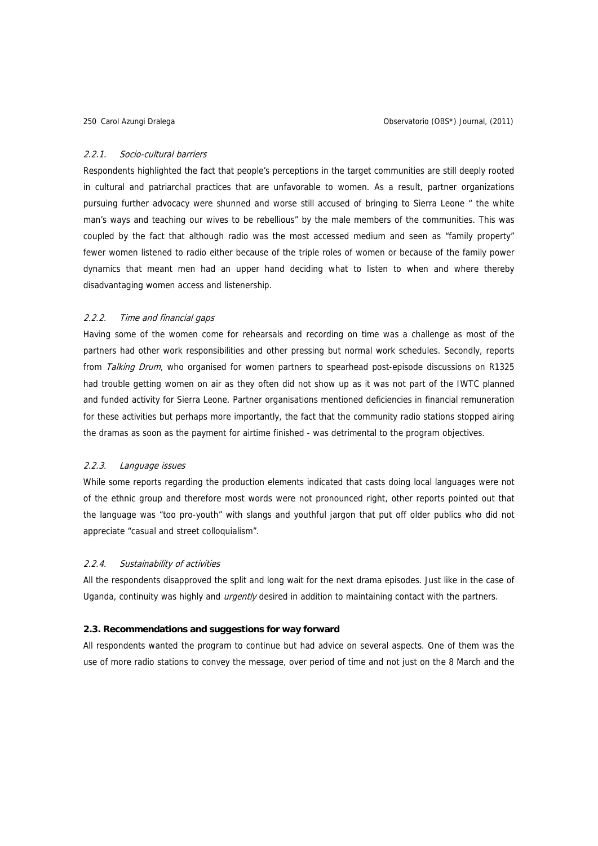#### 2.2.1. Socio-cultural barriers

Respondents highlighted the fact that people's perceptions in the target communities are still deeply rooted in cultural and patriarchal practices that are unfavorable to women. As a result, partner organizations pursuing further advocacy were shunned and worse still accused of bringing to Sierra Leone " the white man's ways and teaching our wives to be rebellious" by the male members of the communities. This was coupled by the fact that although radio was the most accessed medium and seen as "family property" fewer women listened to radio either because of the triple roles of women or because of the family power dynamics that meant men had an upper hand deciding what to listen to when and where thereby disadvantaging women access and listenership.

## 2.2.2. Time and financial gaps

Having some of the women come for rehearsals and recording on time was a challenge as most of the partners had other work responsibilities and other pressing but normal work schedules. Secondly, reports from Talking Drum, who organised for women partners to spearhead post-episode discussions on R1325 had trouble getting women on air as they often did not show up as it was not part of the IWTC planned and funded activity for Sierra Leone. Partner organisations mentioned deficiencies in financial remuneration for these activities but perhaps more importantly, the fact that the community radio stations stopped airing the dramas as soon as the payment for airtime finished - was detrimental to the program objectives.

## 2.2.3. Language issues

While some reports regarding the production elements indicated that casts doing local languages were not of the ethnic group and therefore most words were not pronounced right, other reports pointed out that the language was "too pro-youth" with slangs and youthful jargon that put off older publics who did not appreciate "casual and street colloquialism".

## 2.2.4. Sustainability of activities

All the respondents disapproved the split and long wait for the next drama episodes. Just like in the case of Uganda, continuity was highly and *urgently* desired in addition to maintaining contact with the partners.

#### **2.3. Recommendations and suggestions for way forward**

All respondents wanted the program to continue but had advice on several aspects. One of them was the use of more radio stations to convey the message, over period of time and not just on the 8 March and the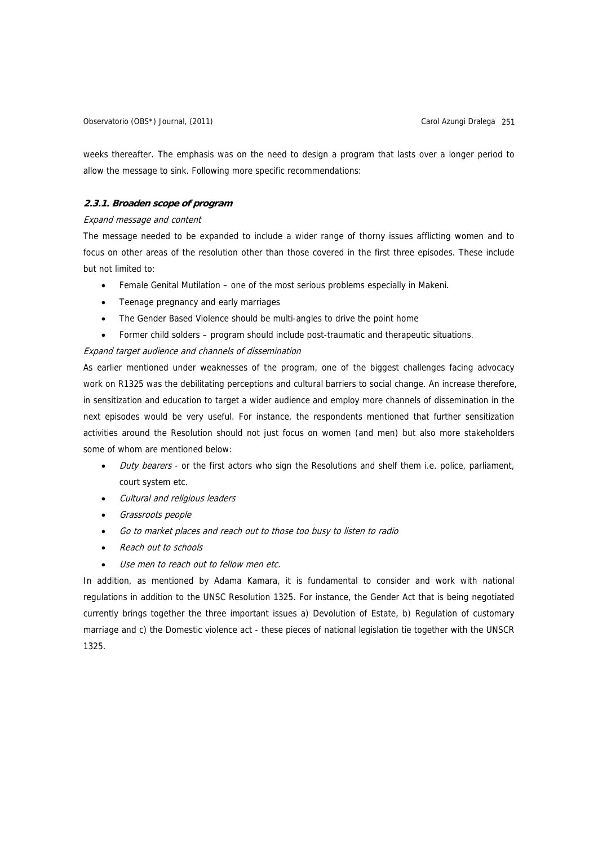Observatorio (OBS\*) Journal, (2011) Carol Azungi Dralega 251

weeks thereafter. The emphasis was on the need to design a program that lasts over a longer period to allow the message to sink. Following more specific recommendations:

# **2.3.1. Broaden scope of program**

#### Expand message and content

The message needed to be expanded to include a wider range of thorny issues afflicting women and to focus on other areas of the resolution other than those covered in the first three episodes. These include but not limited to:

- Female Genital Mutilation one of the most serious problems especially in Makeni.
- Teenage pregnancy and early marriages
- The Gender Based Violence should be multi-angles to drive the point home
- Former child solders program should include post-traumatic and therapeutic situations.

# Expand target audience and channels of dissemination

As earlier mentioned under weaknesses of the program, one of the biggest challenges facing advocacy work on R1325 was the debilitating perceptions and cultural barriers to social change. An increase therefore, in sensitization and education to target a wider audience and employ more channels of dissemination in the next episodes would be very useful. For instance, the respondents mentioned that further sensitization activities around the Resolution should not just focus on women (and men) but also more stakeholders some of whom are mentioned below:

- Duty bearers or the first actors who sign the Resolutions and shelf them i.e. police, parliament, court system etc.
- Cultural and religious leaders
- Grassroots people
- Go to market places and reach out to those too busy to listen to radio
- Reach out to schools
- Use men to reach out to fellow men etc.

In addition, as mentioned by Adama Kamara, it is fundamental to consider and work with national regulations in addition to the UNSC Resolution 1325. For instance, the Gender Act that is being negotiated currently brings together the three important issues a) Devolution of Estate, b) Regulation of customary marriage and c) the Domestic violence act - these pieces of national legislation tie together with the UNSCR 1325.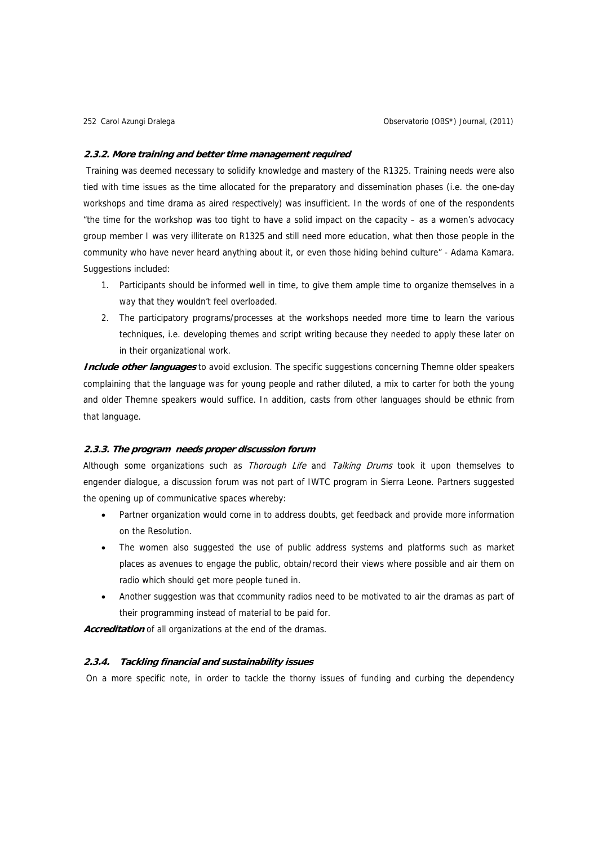#### **2.3.2. More training and better time management required**

 Training was deemed necessary to solidify knowledge and mastery of the R1325. Training needs were also tied with time issues as the time allocated for the preparatory and dissemination phases (i.e. the one-day workshops and time drama as aired respectively) was insufficient. In the words of one of the respondents "the time for the workshop was too tight to have a solid impact on the capacity – as a women's advocacy group member I was very illiterate on R1325 and still need more education, what then those people in the community who have never heard anything about it, or even those hiding behind culture" - Adama Kamara. Suggestions included:

- 1. Participants should be informed well in time, to give them ample time to organize themselves in a way that they wouldn't feel overloaded.
- 2. The participatory programs/processes at the workshops needed more time to learn the various techniques, i.e. developing themes and script writing because they needed to apply these later on in their organizational work.

**Include other languages** to avoid exclusion. The specific suggestions concerning Themne older speakers complaining that the language was for young people and rather diluted, a mix to carter for both the young and older Themne speakers would suffice. In addition, casts from other languages should be ethnic from that language.

## **2.3.3. The program needs proper discussion forum**

Although some organizations such as Thorough Life and Talking Drums took it upon themselves to engender dialogue, a discussion forum was not part of IWTC program in Sierra Leone. Partners suggested the opening up of communicative spaces whereby:

- Partner organization would come in to address doubts, get feedback and provide more information on the Resolution.
- The women also suggested the use of public address systems and platforms such as market places as avenues to engage the public, obtain/record their views where possible and air them on radio which should get more people tuned in.
- Another suggestion was that ccommunity radios need to be motivated to air the dramas as part of their programming instead of material to be paid for.

Accreditation of all organizations at the end of the dramas.

## **2.3.4. Tackling financial and sustainability issues**

On a more specific note, in order to tackle the thorny issues of funding and curbing the dependency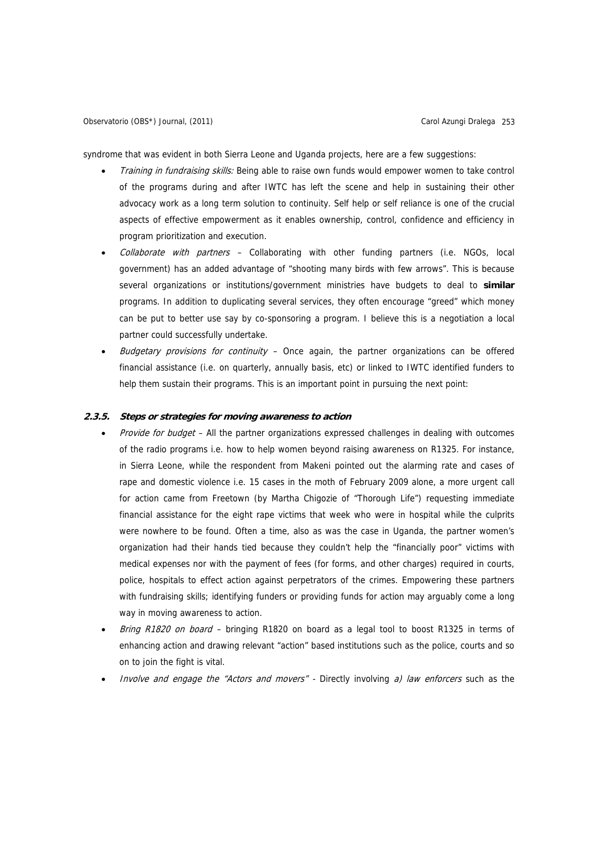syndrome that was evident in both Sierra Leone and Uganda projects, here are a few suggestions:

- Training in fundraising skills: Being able to raise own funds would empower women to take control of the programs during and after IWTC has left the scene and help in sustaining their other advocacy work as a long term solution to continuity. Self help or self reliance is one of the crucial aspects of effective empowerment as it enables ownership, control, confidence and efficiency in program prioritization and execution.
- Collaborate with partners Collaborating with other funding partners (i.e. NGOs, local government) has an added advantage of "shooting many birds with few arrows". This is because several organizations or institutions/government ministries have budgets to deal to **similar**  programs. In addition to duplicating several services, they often encourage "greed" which money can be put to better use say by co-sponsoring a program. I believe this is a negotiation a local partner could successfully undertake.
- Budgetary provisions for continuity  $-$  Once again, the partner organizations can be offered financial assistance (i.e. on quarterly, annually basis, etc) or linked to IWTC identified funders to help them sustain their programs. This is an important point in pursuing the next point:

### **2.3.5. Steps or strategies for moving awareness to action**

- Provide for budget All the partner organizations expressed challenges in dealing with outcomes of the radio programs i.e. how to help women beyond raising awareness on R1325. For instance, in Sierra Leone, while the respondent from Makeni pointed out the alarming rate and cases of rape and domestic violence i.e. 15 cases in the moth of February 2009 alone, a more urgent call for action came from Freetown (by Martha Chigozie of "Thorough Life") requesting immediate financial assistance for the eight rape victims that week who were in hospital while the culprits were nowhere to be found. Often a time, also as was the case in Uganda, the partner women's organization had their hands tied because they couldn't help the "financially poor" victims with medical expenses nor with the payment of fees (for forms, and other charges) required in courts, police, hospitals to effect action against perpetrators of the crimes. Empowering these partners with fundraising skills; identifying funders or providing funds for action may arguably come a long way in moving awareness to action.
- Bring R1820 on board bringing R1820 on board as a legal tool to boost R1325 in terms of enhancing action and drawing relevant "action" based institutions such as the police, courts and so on to join the fight is vital.
- Involve and engage the "Actors and movers" Directly involving  $a$ ) law enforcers such as the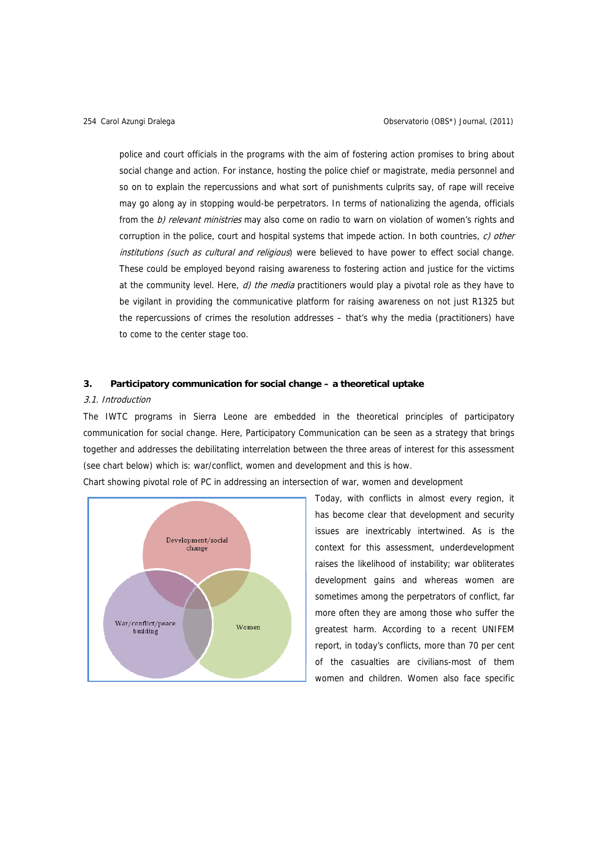police and court officials in the programs with the aim of fostering action promises to bring about social change and action. For instance, hosting the police chief or magistrate, media personnel and so on to explain the repercussions and what sort of punishments culprits say, of rape will receive may go along ay in stopping would-be perpetrators. In terms of nationalizing the agenda, officials from the b) relevant ministries may also come on radio to warn on violation of women's rights and corruption in the police, court and hospital systems that impede action. In both countries,  $c$ ) other institutions (such as cultural and religious) were believed to have power to effect social change. These could be employed beyond raising awareness to fostering action and justice for the victims at the community level. Here,  $d$ ) the media practitioners would play a pivotal role as they have to be vigilant in providing the communicative platform for raising awareness on not just R1325 but the repercussions of crimes the resolution addresses – that's why the media (practitioners) have to come to the center stage too.

# **3. Participatory communication for social change – a theoretical uptake**

#### 3.1. Introduction

The IWTC programs in Sierra Leone are embedded in the theoretical principles of participatory communication for social change. Here, Participatory Communication can be seen as a strategy that brings together and addresses the debilitating interrelation between the three areas of interest for this assessment (see chart below) which is: war/conflict, women and development and this is how.

Chart showing pivotal role of PC in addressing an intersection of war, women and development



Today, with conflicts in almost every region, it has become clear that development and security issues are inextricably intertwined. As is the context for this assessment, underdevelopment raises the likelihood of instability; war obliterates development gains and whereas women are sometimes among the perpetrators of conflict, far more often they are among those who suffer the greatest harm. According to a recent UNIFEM report, in today's conflicts, more than 70 per cent of the casualties are civilians-most of them women and children. Women also face specific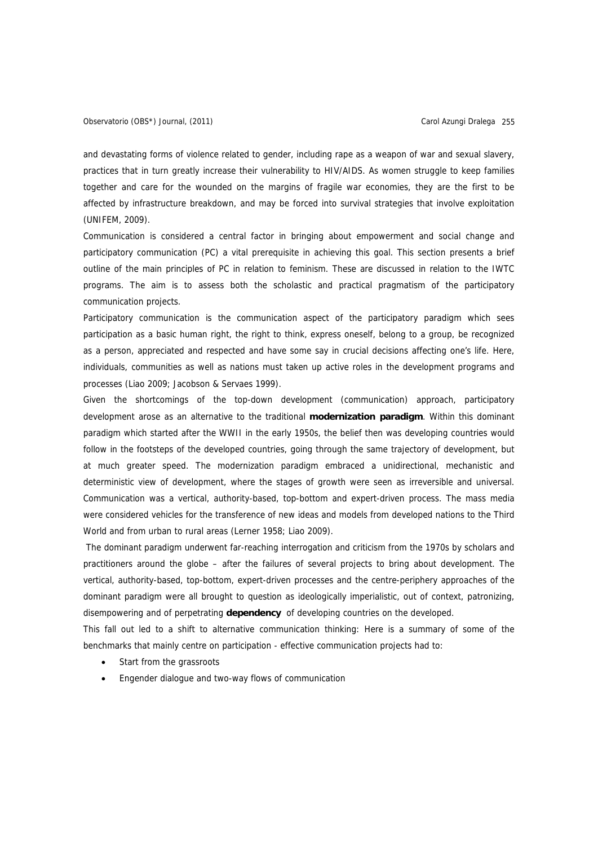and devastating forms of violence related to gender, including rape as a weapon of war and sexual slavery, practices that in turn greatly increase their vulnerability to HIV/AIDS. As women struggle to keep families together and care for the wounded on the margins of fragile war economies, they are the first to be affected by infrastructure breakdown, and may be forced into survival strategies that involve exploitation (UNIFEM, 2009).

Communication is considered a central factor in bringing about empowerment and social change and participatory communication (PC) a vital prerequisite in achieving this goal. This section presents a brief outline of the main principles of PC in relation to feminism. These are discussed in relation to the IWTC programs. The aim is to assess both the scholastic and practical pragmatism of the participatory communication projects.

Participatory communication is the communication aspect of the participatory paradigm which sees participation as a basic human right, the right to think, express oneself, belong to a group, be recognized as a person, appreciated and respected and have some say in crucial decisions affecting one's life. Here, individuals, communities as well as nations must taken up active roles in the development programs and processes (Liao 2009; Jacobson & Servaes 1999).

Given the shortcomings of the top-down development (communication) approach, participatory development arose as an alternative to the traditional **modernization paradigm**. Within this dominant paradigm which started after the WWII in the early 1950s, the belief then was developing countries would follow in the footsteps of the developed countries, going through the same trajectory of development, but at much greater speed. The modernization paradigm embraced a unidirectional, mechanistic and deterministic view of development, where the stages of growth were seen as irreversible and universal. Communication was a vertical, authority-based, top-bottom and expert-driven process. The mass media were considered vehicles for the transference of new ideas and models from developed nations to the Third World and from urban to rural areas (Lerner 1958; Liao 2009).

 The dominant paradigm underwent far-reaching interrogation and criticism from the 1970s by scholars and practitioners around the globe – after the failures of several projects to bring about development. The vertical, authority-based, top-bottom, expert-driven processes and the centre-periphery approaches of the dominant paradigm were all brought to question as ideologically imperialistic, out of context, patronizing, disempowering and of perpetrating **dependency** of developing countries on the developed.

This fall out led to a shift to alternative communication thinking: Here is a summary of some of the benchmarks that mainly centre on participation - effective communication projects had to:

- Start from the grassroots
- Engender dialogue and two-way flows of communication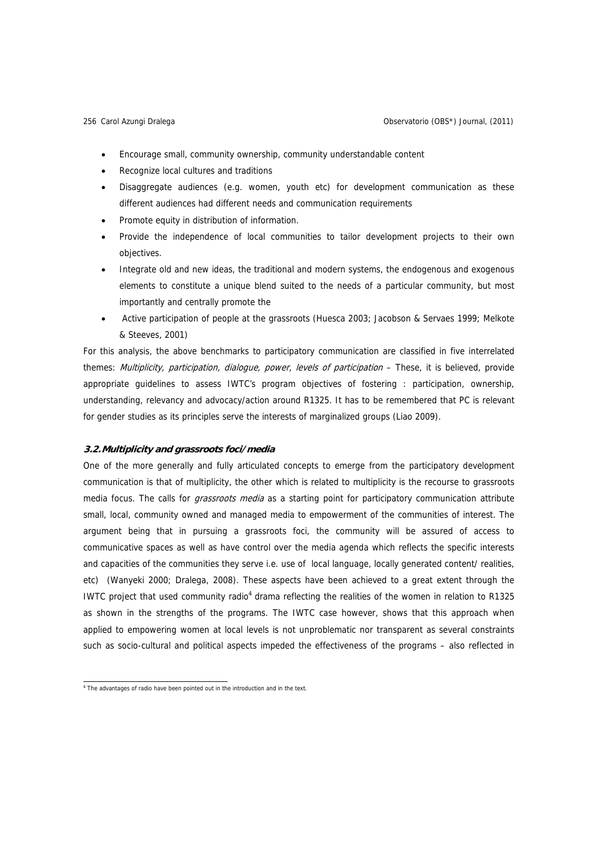- Encourage small, community ownership, community understandable content
- Recognize local cultures and traditions
- Disaggregate audiences (e.g. women, youth etc) for development communication as these different audiences had different needs and communication requirements
- Promote equity in distribution of information.
- Provide the independence of local communities to tailor development projects to their own objectives.
- Integrate old and new ideas, the traditional and modern systems, the endogenous and exogenous elements to constitute a unique blend suited to the needs of a particular community, but most importantly and centrally promote the
- Active participation of people at the grassroots (Huesca 2003; Jacobson & Servaes 1999; Melkote & Steeves, 2001)

For this analysis, the above benchmarks to participatory communication are classified in five interrelated themes: Multiplicity, participation, dialogue, power, levels of participation - These, it is believed, provide appropriate guidelines to assess IWTC's program objectives of fostering : participation, ownership, understanding, relevancy and advocacy/action around R1325. It has to be remembered that PC is relevant for gender studies as its principles serve the interests of marginalized groups (Liao 2009).

# **3.2.Multiplicity and grassroots foci/media**

One of the more generally and fully articulated concepts to emerge from the participatory development communication is that of multiplicity, the other which is related to multiplicity is the recourse to grassroots media focus. The calls for grassroots media as a starting point for participatory communication attribute small, local, community owned and managed media to empowerment of the communities of interest. The argument being that in pursuing a grassroots foci, the community will be assured of access to communicative spaces as well as have control over the media agenda which reflects the specific interests and capacities of the communities they serve i.e. use of local language, locally generated content/ realities, etc) (Wanyeki 2000; Dralega, 2008). These aspects have been achieved to a great extent through the IWTC project that used community radio<sup>4</sup> drama reflecting the realities of the women in relation to R1325 as shown in the strengths of the programs. The IWTC case however, shows that this approach when applied to empowering women at local levels is not unproblematic nor transparent as several constraints such as socio-cultural and political aspects impeded the effectiveness of the programs – also reflected in

<sup>4&</sup>lt;br>The advantages of radio have been pointed out in the introduction and in the text.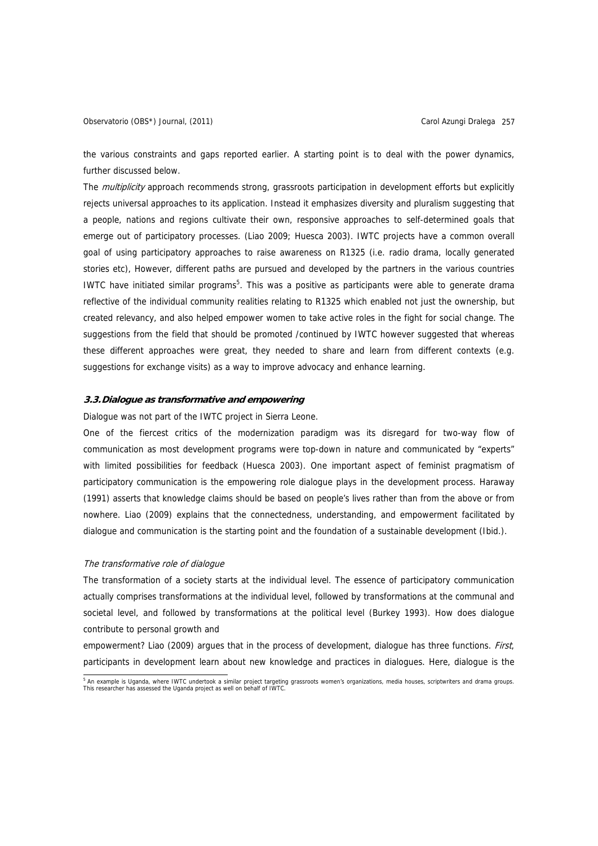the various constraints and gaps reported earlier. A starting point is to deal with the power dynamics, further discussed below.

The *multiplicity* approach recommends strong, grassroots participation in development efforts but explicitly rejects universal approaches to its application. Instead it emphasizes diversity and pluralism suggesting that a people, nations and regions cultivate their own, responsive approaches to self-determined goals that emerge out of participatory processes. (Liao 2009; Huesca 2003). IWTC projects have a common overall goal of using participatory approaches to raise awareness on R1325 (i.e. radio drama, locally generated stories etc), However, different paths are pursued and developed by the partners in the various countries IWTC have initiated similar programs<sup>5</sup>. This was a positive as participants were able to generate drama reflective of the individual community realities relating to R1325 which enabled not just the ownership, but created relevancy, and also helped empower women to take active roles in the fight for social change. The suggestions from the field that should be promoted /continued by IWTC however suggested that whereas these different approaches were great, they needed to share and learn from different contexts (e.g. suggestions for exchange visits) as a way to improve advocacy and enhance learning.

## **3.3.Dialogue as transformative and empowering**

Dialogue was not part of the IWTC project in Sierra Leone.

One of the fiercest critics of the modernization paradigm was its disregard for two-way flow of communication as most development programs were top-down in nature and communicated by "experts" with limited possibilities for feedback (Huesca 2003). One important aspect of feminist pragmatism of participatory communication is the empowering role dialogue plays in the development process. Haraway (1991) asserts that knowledge claims should be based on people's lives rather than from the above or from nowhere. Liao (2009) explains that the connectedness, understanding, and empowerment facilitated by dialogue and communication is the starting point and the foundation of a sustainable development (Ibid.).

#### The transformative role of dialogue

The transformation of a society starts at the individual level. The essence of participatory communication actually comprises transformations at the individual level, followed by transformations at the communal and societal level, and followed by transformations at the political level (Burkey 1993). How does dialogue contribute to personal growth and

empowerment? Liao (2009) argues that in the process of development, dialogue has three functions. *First*, participants in development learn about new knowledge and practices in dialogues. Here, dialogue is the

<sup>&</sup>lt;sup>5</sup> An example is Uganda, where IWTC undertook a similar project targeting grassroots women's organizations, media houses, scriptwriters and drama groups.<br>This researcher has assessed the Uganda project as well on behalf o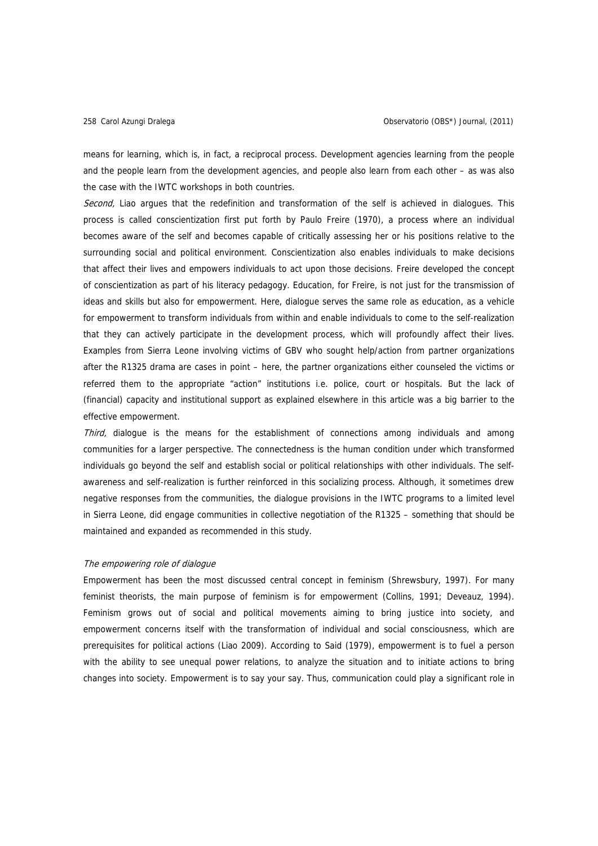means for learning, which is, in fact, a reciprocal process. Development agencies learning from the people and the people learn from the development agencies, and people also learn from each other – as was also the case with the IWTC workshops in both countries.

Second, Liao argues that the redefinition and transformation of the self is achieved in dialogues. This process is called conscientization first put forth by Paulo Freire (1970), a process where an individual becomes aware of the self and becomes capable of critically assessing her or his positions relative to the surrounding social and political environment. Conscientization also enables individuals to make decisions that affect their lives and empowers individuals to act upon those decisions. Freire developed the concept of conscientization as part of his literacy pedagogy. Education, for Freire, is not just for the transmission of ideas and skills but also for empowerment. Here, dialogue serves the same role as education, as a vehicle for empowerment to transform individuals from within and enable individuals to come to the self-realization that they can actively participate in the development process, which will profoundly affect their lives. Examples from Sierra Leone involving victims of GBV who sought help/action from partner organizations after the R1325 drama are cases in point – here, the partner organizations either counseled the victims or referred them to the appropriate "action" institutions i.e. police, court or hospitals. But the lack of (financial) capacity and institutional support as explained elsewhere in this article was a big barrier to the effective empowerment.

Third, dialogue is the means for the establishment of connections among individuals and among communities for a larger perspective. The connectedness is the human condition under which transformed individuals go beyond the self and establish social or political relationships with other individuals. The selfawareness and self-realization is further reinforced in this socializing process. Although, it sometimes drew negative responses from the communities, the dialogue provisions in the IWTC programs to a limited level in Sierra Leone, did engage communities in collective negotiation of the R1325 – something that should be maintained and expanded as recommended in this study.

#### The empowering role of dialogue

Empowerment has been the most discussed central concept in feminism (Shrewsbury, 1997). For many feminist theorists, the main purpose of feminism is for empowerment (Collins, 1991; Deveauz, 1994). Feminism grows out of social and political movements aiming to bring justice into society, and empowerment concerns itself with the transformation of individual and social consciousness, which are prerequisites for political actions (Liao 2009). According to Said (1979), empowerment is to fuel a person with the ability to see unequal power relations, to analyze the situation and to initiate actions to bring changes into society. Empowerment is to say your say. Thus, communication could play a significant role in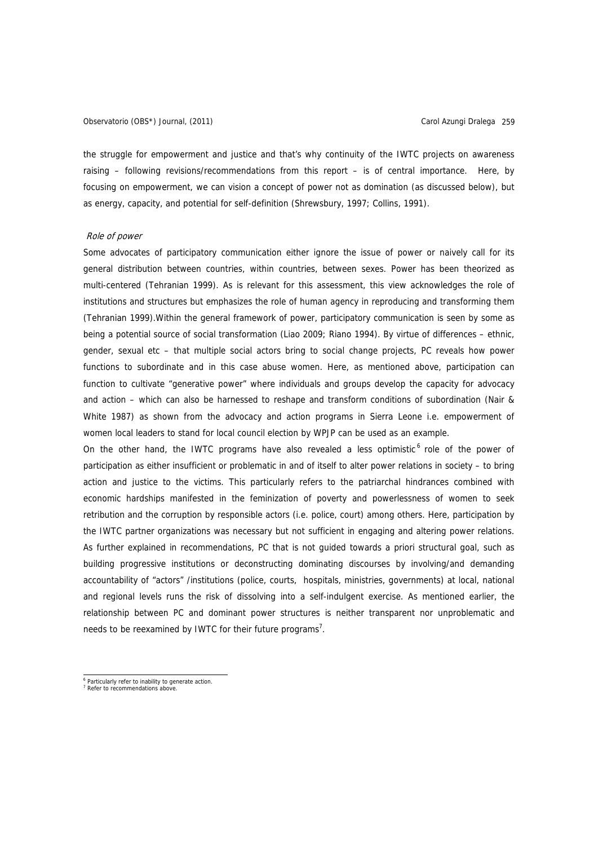the struggle for empowerment and justice and that's why continuity of the IWTC projects on awareness raising – following revisions/recommendations from this report – is of central importance. Here, by focusing on empowerment, we can vision a concept of power not as domination (as discussed below), but as energy, capacity, and potential for self-definition (Shrewsbury, 1997; Collins, 1991).

#### Role of power

Some advocates of participatory communication either ignore the issue of power or naively call for its general distribution between countries, within countries, between sexes. Power has been theorized as multi-centered (Tehranian 1999). As is relevant for this assessment, this view acknowledges the role of institutions and structures but emphasizes the role of human agency in reproducing and transforming them (Tehranian 1999).Within the general framework of power, participatory communication is seen by some as being a potential source of social transformation (Liao 2009; Riano 1994). By virtue of differences – ethnic, gender, sexual etc – that multiple social actors bring to social change projects, PC reveals how power functions to subordinate and in this case abuse women. Here, as mentioned above, participation can function to cultivate "generative power" where individuals and groups develop the capacity for advocacy and action – which can also be harnessed to reshape and transform conditions of subordination (Nair & White 1987) as shown from the advocacy and action programs in Sierra Leone i.e. empowerment of women local leaders to stand for local council election by WPJP can be used as an example.

On the other hand, the IWTC programs have also revealed a less optimistic  $6$  role of the power of participation as either insufficient or problematic in and of itself to alter power relations in society – to bring action and justice to the victims. This particularly refers to the patriarchal hindrances combined with economic hardships manifested in the feminization of poverty and powerlessness of women to seek retribution and the corruption by responsible actors (i.e. police, court) among others. Here, participation by the IWTC partner organizations was necessary but not sufficient in engaging and altering power relations. As further explained in recommendations, PC that is not guided towards a priori structural goal, such as building progressive institutions or deconstructing dominating discourses by involving/and demanding accountability of "actors" /institutions (police, courts, hospitals, ministries, governments) at local, national and regional levels runs the risk of dissolving into a self-indulgent exercise. As mentioned earlier, the relationship between PC and dominant power structures is neither transparent nor unproblematic and needs to be reexamined by IWTC for their future programs<sup>7</sup>.

<sup>&</sup>lt;sup>6</sup> Particularly refer to inability to generate action.

<sup>7</sup> Refer to recommendations above.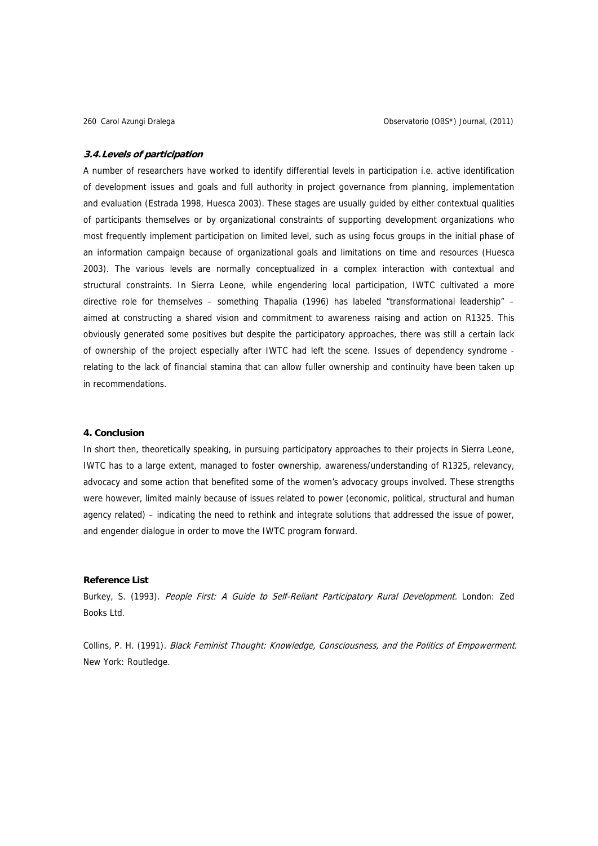#### **3.4.Levels of participation**

A number of researchers have worked to identify differential levels in participation i.e. active identification of development issues and goals and full authority in project governance from planning, implementation and evaluation (Estrada 1998, Huesca 2003). These stages are usually guided by either contextual qualities of participants themselves or by organizational constraints of supporting development organizations who most frequently implement participation on limited level, such as using focus groups in the initial phase of an information campaign because of organizational goals and limitations on time and resources (Huesca 2003). The various levels are normally conceptualized in a complex interaction with contextual and structural constraints. In Sierra Leone, while engendering local participation, IWTC cultivated a more directive role for themselves – something Thapalia (1996) has labeled "transformational leadership" – aimed at constructing a shared vision and commitment to awareness raising and action on R1325. This obviously generated some positives but despite the participatory approaches, there was still a certain lack of ownership of the project especially after IWTC had left the scene. Issues of dependency syndrome relating to the lack of financial stamina that can allow fuller ownership and continuity have been taken up in recommendations.

# **4. Conclusion**

In short then, theoretically speaking, in pursuing participatory approaches to their projects in Sierra Leone, IWTC has to a large extent, managed to foster ownership, awareness/understanding of R1325, relevancy, advocacy and some action that benefited some of the women's advocacy groups involved. These strengths were however, limited mainly because of issues related to power (economic, political, structural and human agency related) – indicating the need to rethink and integrate solutions that addressed the issue of power, and engender dialogue in order to move the IWTC program forward.

# **Reference List**

Burkey, S. (1993). People First: A Guide to Self-Reliant Participatory Rural Development. London: Zed Books Ltd.

Collins, P. H. (1991). Black Feminist Thought: Knowledge, Consciousness, and the Politics of Empowerment. New York: Routledge.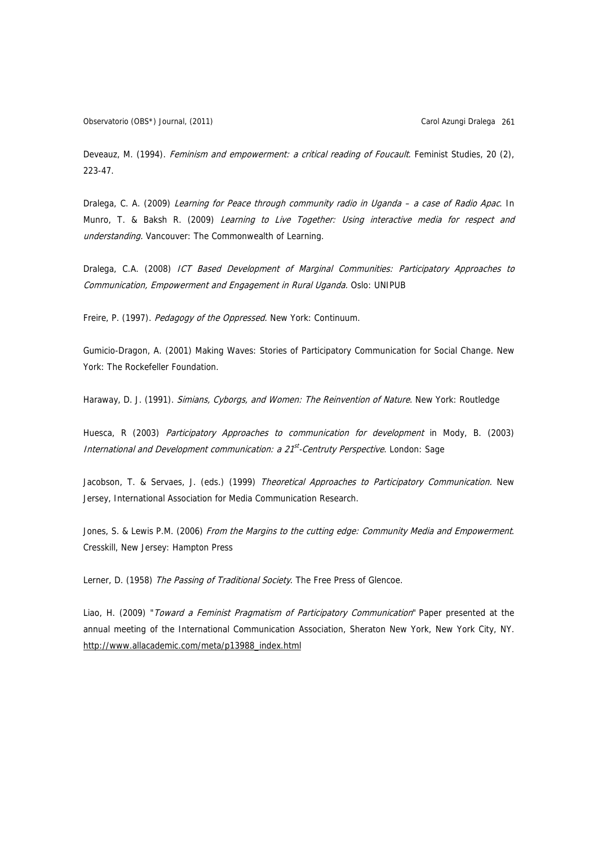Observatorio (OBS\*) Journal, (2011) Carol Azungi Dralega 261

Deveauz, M. (1994). Feminism and empowerment: a critical reading of Foucault. Feminist Studies, 20 (2), 223-47.

Dralega, C. A. (2009) Learning for Peace through community radio in Uganda – a case of Radio Apac. In Munro, T. & Baksh R. (2009) Learning to Live Together: Using interactive media for respect and understanding. Vancouver: The Commonwealth of Learning.

Dralega, C.A. (2008) ICT Based Development of Marginal Communities: Participatory Approaches to Communication, Empowerment and Engagement in Rural Uganda. Oslo: UNIPUB

Freire, P. (1997). Pedagogy of the Oppressed. New York: Continuum.

Gumicio-Dragon, A. (2001) Making Waves: Stories of Participatory Communication for Social Change. New York: The Rockefeller Foundation.

Haraway, D. J. (1991). Simians, Cyborgs, and Women: The Reinvention of Nature. New York: Routledge

Huesca, R (2003) Participatory Approaches to communication for development in Mody, B. (2003) International and Development communication:  $a 21<sup>st</sup>$ -Centruty Perspective. London: Sage

Jacobson, T. & Servaes, J. (eds.) (1999) Theoretical Approaches to Participatory Communication. New Jersey, International Association for Media Communication Research.

Jones, S. & Lewis P.M. (2006) From the Margins to the cutting edge: Community Media and Empowerment. Cresskill, New Jersey: Hampton Press

Lerner, D. (1958) The Passing of Traditional Society. The Free Press of Glencoe.

Liao, H. (2009) "Toward a Feminist Pragmatism of Participatory Communication" Paper presented at the annual meeting of the International Communication Association, Sheraton New York, New York City, NY. http://www.allacademic.com/meta/p13988\_index.html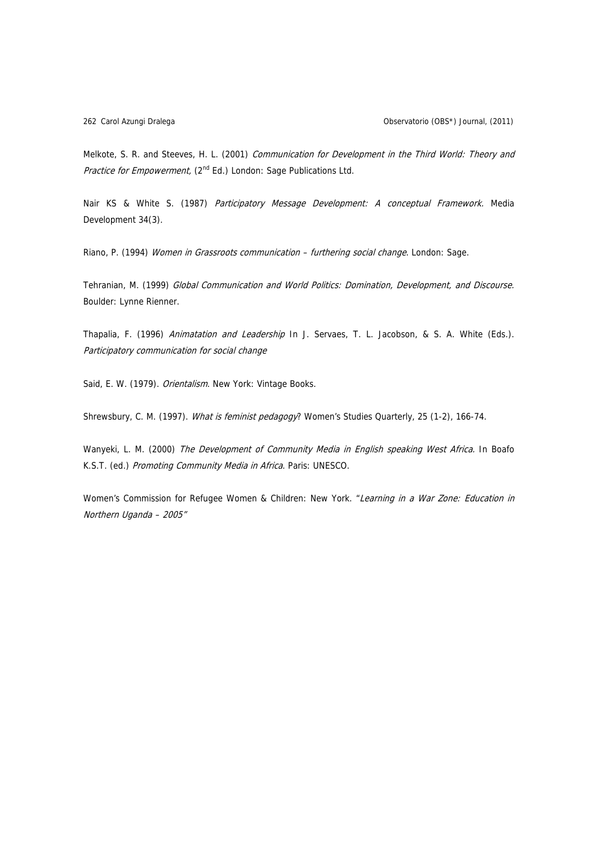Melkote, S. R. and Steeves, H. L. (2001) Communication for Development in the Third World: Theory and Practice for Empowerment, (2<sup>nd</sup> Ed.) London: Sage Publications Ltd.

Nair KS & White S. (1987) Participatory Message Development: A conceptual Framework. Media Development 34(3).

Riano, P. (1994) Women in Grassroots communication - furthering social change. London: Sage.

Tehranian, M. (1999) Global Communication and World Politics: Domination, Development, and Discourse. Boulder: Lynne Rienner.

Thapalia, F. (1996) Animatation and Leadership In J. Servaes, T. L. Jacobson, & S. A. White (Eds.). Participatory communication for social change

Said, E. W. (1979). Orientalism. New York: Vintage Books.

Shrewsbury, C. M. (1997). What is feminist pedagogy? Women's Studies Quarterly, 25 (1-2), 166-74.

Wanyeki, L. M. (2000) The Development of Community Media in English speaking West Africa. In Boafo K.S.T. (ed.) Promoting Community Media in Africa. Paris: UNESCO.

Women's Commission for Refugee Women & Children: New York. "Learning in a War Zone: Education in Northern Uganda – 2005"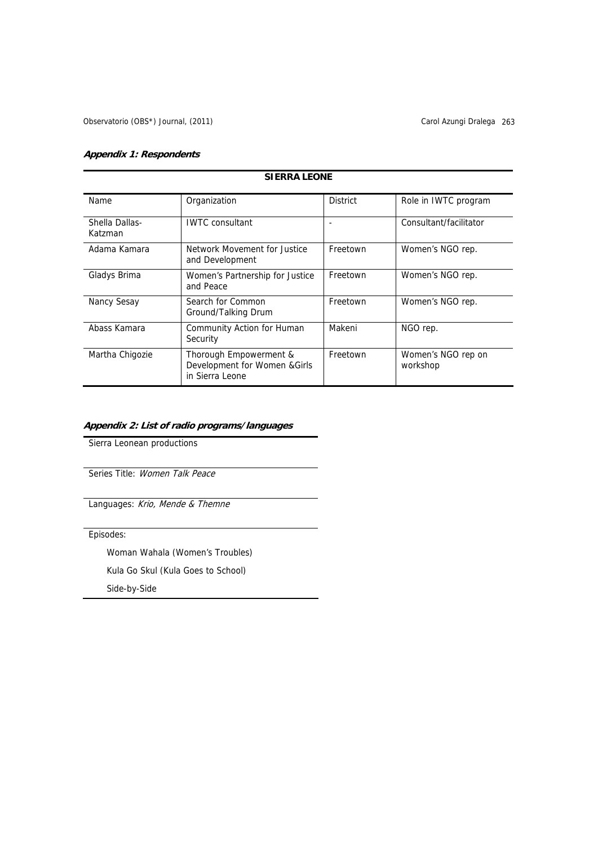# **Appendix 1: Respondents**

# **SIERRA LEONE**

| Name.                     | Organization                                                               | <b>District</b> | Role in IWTC program           |
|---------------------------|----------------------------------------------------------------------------|-----------------|--------------------------------|
| Shella Dallas-<br>Katzman | <b>IWTC</b> consultant                                                     |                 | Consultant/facilitator         |
| Adama Kamara              | Network Movement for Justice<br>and Development                            | Freetown        | Women's NGO rep.               |
| Gladys Brima              | Women's Partnership for Justice<br>and Peace                               | Freetown        | Women's NGO rep.               |
| Nancy Sesay               | Search for Common<br>Ground/Talking Drum                                   | Freetown        | Women's NGO rep.               |
| Abass Kamara              | Community Action for Human<br>Security                                     | Makeni          | NGO rep.                       |
| Martha Chigozie           | Thorough Empowerment &<br>Development for Women & Girls<br>in Sierra Leone | Freetown        | Women's NGO rep on<br>workshop |

# **Appendix 2: List of radio programs/languages**

Sierra Leonean productions

Series Title: Women Talk Peace

Languages: Krio, Mende & Themne

Episodes:

Woman Wahala (Women's Troubles)

Kula Go Skul (Kula Goes to School)

Side-by-Side